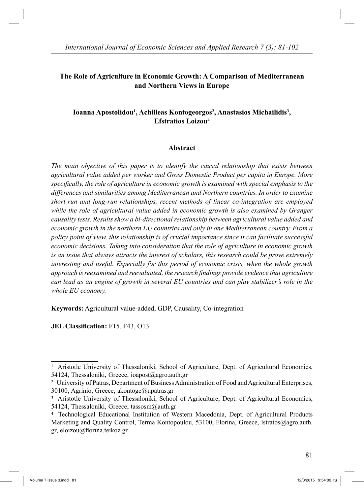## **The Role of Agriculture in Economic Growth: A Comparison of Mediterranean and Northern Views in Europe**

## Ioanna Apostolidou<sup>1</sup>, Achilleas Kontogeorgos<sup>2</sup>, Anastasios Michailidis<sup>3</sup>, **Efstratios Loizou4**

#### **Abstract**

*The main objective of this paper is to identify the causal relationship that exists between agricultural value added per worker and Gross Domestic Product per capita in Europe. More specifically, the role of agriculture in economic growth is examined with special emphasis to the differences and similarities among Mediterranean and Northern countries. In order to examine short-run and long-run relationships, recent methods of linear co-integration are employed while the role of agricultural value added in economic growth is also examined by Granger causality tests. Results show a bi-directional relationship between agricultural value added and economic growth in the northern EU countries and only in one Mediterranean country. From a policy point of view, this relationship is of crucial importance since it can facilitate successful economic decisions. Taking into consideration that the role of agriculture in economic growth is an issue that always attracts the interest of scholars, this research could be prove extremely interesting and useful. Especially for this period of economic crisis, when the whole growth approach is reexamined and reevaluated, the research findings provide evidence that agriculture can lead as an engine of growth in several EU countries and can play stabilizer's role in the whole EU economy.* 

**Keywords:** Agricultural value-added, GDP, Causality, Co-integration

**JEL Classification:** F15, F43, O13

<sup>1</sup> Aristotle University of Thessaloniki, School of Agriculture, Dept. of Agricultural Economics, 54124, Thessaloniki, Greece, ioapost@agro.auth.gr

<sup>2</sup> University of Patras, Department of Business Administration of Food and Agricultural Enterprises, 30100, Agrinio, Greece, akontoge@upatras.gr

<sup>&</sup>lt;sup>3</sup> Aristotle University of Thessaloniki, School of Agriculture, Dept. of Agricultural Economics, 54124, Thessaloniki, Greece, tassosm@auth.gr

<sup>4</sup> Technological Educational Institution of Western Macedonia, Dept. of Agricultural Products Marketing and Quality Control, Terma Kontopoulou, 53100, Florina, Greece, lstratos@agro.auth. gr, eloizou@florina.teikoz.gr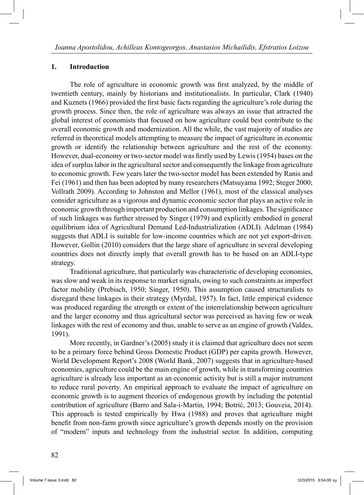#### **1. Introduction**

 The role of agriculture in economic growth was first analyzed, by the middle of twentieth century, mainly by historians and institutionalists. In particular, Clark (1940) and Kuznets (1966) provided the first basic facts regarding the agriculture's role during the growth process. Since then, the role of agriculture was always an issue that attracted the global interest of economists that focused on how agriculture could best contribute to the overall economic growth and modernization. All the while, the vast majority of studies are referred in theoretical models attempting to measure the impact of agriculture in economic growth or identify the relationship between agriculture and the rest of the economy. However, dual-economy or two-sector model was firstly used by Lewis (1954) bases on the idea of surplus labor in the agricultural sector and consequently the linkage from agriculture to economic growth. Few years later the two-sector model has been extended by Ranis and Fei (1961) and then has been adopted by many researchers (Matsuyama 1992; Steger 2000; Vollrath 2009). According to Johnston and Mellor (1961), most of the classical analyses consider agriculture as a vigorous and dynamic economic sector that plays an active role in economic growth through important production and consumption linkages. The significance of such linkages was further stressed by Singer (1979) and explicitly embodied in general equilibrium idea of Agricultural Demand Led-Industrialization (ADLI). Adelman (1984) suggests that ADLI is suitable for low-income countries which are not yet export-driven. However, Gollin (2010) considers that the large share of agriculture in several developing countries does not directly imply that overall growth has to be based on an ADLI-type strategy.

 Traditional agriculture, that particularly was characteristic of developing economies, was slow and weak in its response to market signals, owing to such constraints as imperfect factor mobility (Prebisch, 1950; Singer, 1950). This assumption caused structuralists to disregard these linkages in their strategy (Myrdal, 1957). In fact, little empirical evidence was produced regarding the strength or extent of the interrelationship between agriculture and the larger economy and thus agricultural sector was perceived as having few or weak linkages with the rest of economy and thus, unable to serve as an engine of growth (Valdes, 1991).

 More recently, in Gardner's (2005) study it is claimed that agriculture does not seem to be a primary force behind Gross Domestic Product (GDP) per capita growth. However, World Development Report's 2008 (World Bank, 2007) suggests that in agriculture-based economies, agriculture could be the main engine of growth, while in transforming countries agriculture is already less important as an economic activity but is still a major instrument to reduce rural poverty. An empirical approach to evaluate the impact of agriculture on economic growth is to augment theories of endogenous growth by including the potential contribution of agriculture (Barro and Sala-i-Martin, 1994; Botrić, 2013; Gouveia, 2014). This approach is tested empirically by Hwa (1988) and proves that agriculture might benefit from non-farm growth since agriculture's growth depends mostly on the provision of "modern" inputs and technology from the industrial sector. In addition, computing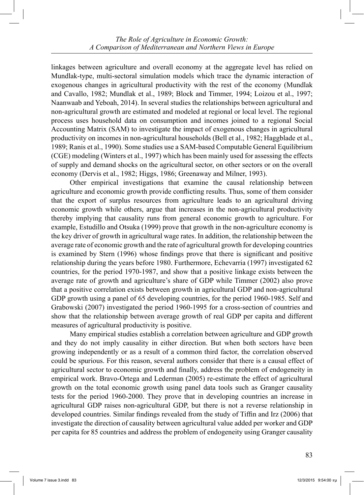linkages between agriculture and overall economy at the aggregate level has relied on Mundlak-type, multi-sectoral simulation models which trace the dynamic interaction of exogenous changes in agricultural productivity with the rest of the economy (Mundlak and Cavallo, 1982; Mundlak et al., 1989; Block and Timmer, 1994; Loizou et al., 1997; Naanwaab and Yeboah, 2014). In several studies the relationships between agricultural and non-agricultural growth are estimated and modeled at regional or local level. The regional process uses household data on consumption and incomes joined to a regional Social Accounting Matrix (SAM) to investigate the impact of exogenous changes in agricultural productivity on incomes in non-agricultural households (Bell et al., 1982; Haggblade et al., 1989; Ranis et al., 1990). Some studies use a SAM-based Computable General Equilibrium (CGE) modeling (Winters et al., 1997) which has been mainly used for assessing the effects of supply and demand shocks on the agricultural sector, on other sectors or on the overall economy (Dervis et al., 1982; Higgs, 1986; Greenaway and Milner, 1993).

 Other empirical investigations that examine the causal relationship between agriculture and economic growth provide conflicting results. Thus, some of them consider that the export of surplus resources from agriculture leads to an agricultural driving economic growth while others, argue that increases in the non-agricultural productivity thereby implying that causality runs from general economic growth to agriculture. For example, Estudillo and Otsuka (1999) prove that growth in the non-agriculture economy is the key driver of growth in agricultural wage rates. In addition, the relationship between the average rate of economic growth and the rate of agricultural growth for developing countries is examined by Stern (1996) whose findings prove that there is significant and positive relationship during the years before 1980. Furthermore, Echevarria (1997) investigated 62 countries, for the period 1970-1987, and show that a positive linkage exists between the average rate of growth and agriculture's share of GDP while Timmer (2002) also prove that a positive correlation exists between growth in agricultural GDP and non-agricultural GDP growth using a panel of 65 developing countries, for the period 1960-1985. Self and Grabowski (2007) investigated the period 1960-1995 for a cross-section of countries and show that the relationship between average growth of real GDP per capita and different measures of agricultural productivity is positive.

 Many empirical studies establish a correlation between agriculture and GDP growth and they do not imply causality in either direction. But when both sectors have been growing independently or as a result of a common third factor, the correlation observed could be spurious. For this reason, several authors consider that there is a causal effect of agricultural sector to economic growth and finally, address the problem of endogeneity in empirical work. Bravo-Ortega and Lederman (2005) re-estimate the effect of agricultural growth on the total economic growth using panel data tools such as Granger causality tests for the period 1960-2000. They prove that in developing countries an increase in agricultural GDP raises non-agricultural GDP, but there is not a reverse relationship in developed countries. Similar findings revealed from the study of Tiffin and Irz (2006) that investigate the direction of causality between agricultural value added per worker and GDP per capita for 85 countries and address the problem of endogeneity using Granger causality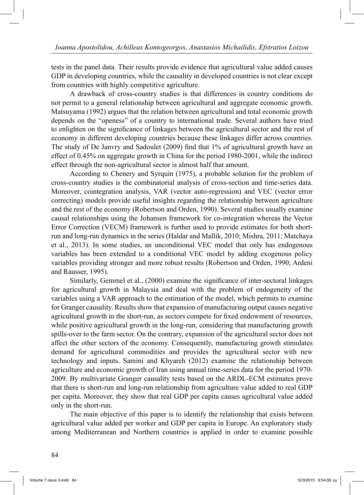tests in the panel data. Their results provide evidence that agricultural value added causes GDP in developing countries, while the causality in developed countries is not clear except from countries with highly competitive agriculture.

 A drawback of cross-country studies is that differences in country conditions do not permit to a general relationship between agricultural and aggregate economic growth. Matsuyama (1992) argues that the relation between agricultural and total economic growth depends on the "openess" of a country to international trade. Several authors have tried to enlighten on the significance of linkages between the agricultural sector and the rest of economy in different developing countries because these linkages differ across countries. The study of De Janvry and Sadoulet (2009) find that 1% of agricultural growth have an effect of 0.45% on aggregate growth in China for the period 1980-2001, while the indirect effect through the non-agricultural sector is almost half that amount.

 According to Chenery and Syrquin (1975), a probable solution for the problem of cross-country studies is the combinatorial analysis of cross-section and time-series data. Moreover, cointegration analysis, VAR (vector auto-regression) and VEC (vector error correcting) models provide useful insights regarding the relationship between agriculture and the rest of the economy (Robertson and Orden, 1990). Several studies usually examine causal relationships using the Johansen framework for co-integration whereas the Vector Error Correction (VECM) framework is further used to provide estimates for both shortrun and long-run dynamics in the series (Haldar and Mallik, 2010; Mishra, 2011; Matchaya et al., 2013). In some studies, an unconditional VEC model that only has endogenous variables has been extended to a conditional VEC model by adding exogenous policy variables providing stronger and more robust results (Robertson and Orden, 1990; Ardeni and Rausser, 1995).

 Similarly, Gemmel et al., (2000) examine the significance of inter-sectoral linkages for agricultural growth in Malaysia and deal with the problem of endogeneity of the variables using a VAR approach to the estimation of the model, which permits to examine for Granger causality. Results show that expansion of manufacturing output causes negative agricultural growth in the short-run, as sectors compete for fixed endowment of resources, while positive agricultural growth in the long-run, considering that manufacturing growth spills-over to the farm sector. On the contrary, expansion of the agricultural sector does not affect the other sectors of the economy. Consequently, manufacturing growth stimulates demand for agricultural commodities and provides the agricultural sector with new technology and inputs. Samini and Khyareh (2012) examine the relationship between agriculture and economic growth of Iran using annual time-series data for the period 1970- 2009. By multivariate Granger causality tests based on the ARDL-ECM estimates prove that there is short-run and long-run relationship from agriculture value added to real GDP per capita. Moreover, they show that real GDP per capita causes agricultural value added only in the short-run.

 The main objective of this paper is to identify the relationship that exists between agricultural value added per worker and GDP per capita in Europe. An exploratory study among Mediterranean and Northern countries is applied in order to examine possible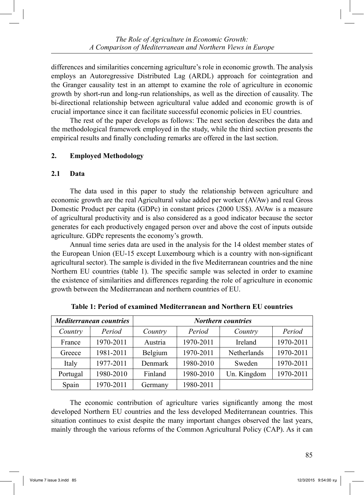differences and similarities concerning agriculture's role in economic growth. The analysis employs an Autoregressive Distributed Lag (ARDL) approach for cointegration and the Granger causality test in an attempt to examine the role of agriculture in economic growth by short-run and long-run relationships, as well as the direction of causality. The bi-directional relationship between agricultural value added and economic growth is of crucial importance since it can facilitate successful economic policies in EU countries.

 The rest of the paper develops as follows: The next section describes the data and the methodological framework employed in the study, while the third section presents the empirical results and finally concluding remarks are offered in the last section.

## **2. Employed Methodology**

## **2.1 Data**

 The data used in this paper to study the relationship between agriculture and economic growth are the real Agricultural value added per worker (AVAw) and real Gross Domestic Product per capita (GDPc) in constant prices (2000 US\$). AVAw is a measure of agricultural productivity and is also considered as a good indicator because the sector generates for each productively engaged person over and above the cost of inputs outside agriculture. GDPc represents the economy's growth.

 Annual time series data are used in the analysis for the 14 oldest member states of the European Union (EU-15 except Luxembourg which is a country with non-significant agricultural sector). The sample is divided in the five Mediterranean countries and the nine Northern EU countries (table 1). The specific sample was selected in order to examine the existence of similarities and differences regarding the role of agriculture in economic growth between the Mediterranean and northern countries of EU.

|          | <b>Mediterranean countries</b> | <b>Northern countries</b> |                          |             |           |  |  |
|----------|--------------------------------|---------------------------|--------------------------|-------------|-----------|--|--|
| Country  | Period                         | Country                   | Period                   | Country     | Period    |  |  |
| France   | 1970-2011                      | Austria                   | 1970-2011                | Ireland     | 1970-2011 |  |  |
| Greece   | 1981-2011                      | Belgium                   | 1970-2011<br>Netherlands |             | 1970-2011 |  |  |
| Italy    | 1977-2011                      | Denmark                   | 1980-2010                | Sweden      | 1970-2011 |  |  |
| Portugal | 1980-2010                      | Finland                   | 1980-2010                | Un. Kingdom | 1970-2011 |  |  |
| Spain    | 1970-2011                      | Germany                   | 1980-2011                |             |           |  |  |

**Table 1: Period of examined Mediterranean and Northern EU countries**

 The economic contribution of agriculture varies significantly among the most developed Northern EU countries and the less developed Mediterranean countries. This situation continues to exist despite the many important changes observed the last years, mainly through the various reforms of the Common Agricultural Policy (CAP). As it can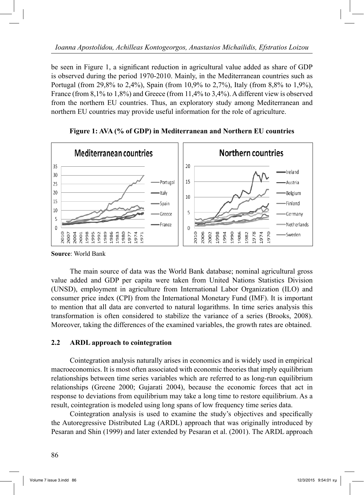be seen in Figure 1, a significant reduction in agricultural value added as share of GDP is observed during the period 1970-2010. Mainly, in the Mediterranean countries such as Portugal (from 29,8% to 2,4%), Spain (from 10,9% to 2,7%), Italy (from 8,8% to 1,9%), France (from 8,1% to 1,8%) and Greece (from 11,4% to 3,4%). A different view is observed from the northern EU countries. Thus, an exploratory study among Mediterranean and northern EU countries may provide useful information for the role of agriculture.



**Figure 1: AVA (% of GDP) in Mediterranean and Northern EU countries**

**Source**: World Bank

 The main source of data was the World Bank database; nominal agricultural gross value added and GDP per capita were taken from United Nations Statistics Division (UNSD), employment in agriculture from International Labor Organization (ILO) and consumer price index (CPI) from the International Monetary Fund (IMF). It is important to mention that all data are converted to natural logarithms. In time series analysis this transformation is often considered to stabilize the variance of a series (Brooks, 2008). Moreover, taking the differences of the examined variables, the growth rates are obtained.

## **2.2 ARDL approach to cointegration**

 Cointegration analysis naturally arises in economics and is widely used in empirical macroeconomics. It is most often associated with economic theories that imply equilibrium relationships between time series variables which are referred to as long-run equilibrium relationships (Greene 2000; Gujarati 2004), because the economic forces that act in response to deviations from equilibrium may take a long time to restore equilibrium. As a result, cointegration is modeled using long spans of low frequency time series data.

 Cointegration analysis is used to examine the study's objectives and specifically the Autoregressive Distributed Lag (ARDL) approach that was originally introduced by Pesaran and Shin (1999) and later extended by Pesaran et al. (2001). The ARDL approach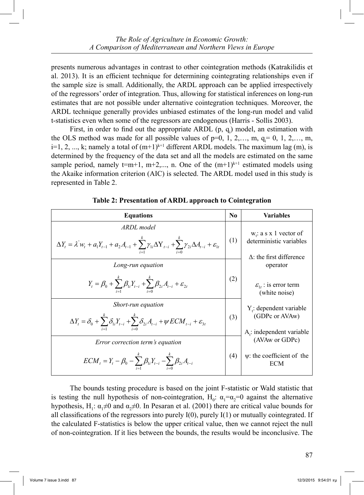presents numerous advantages in contrast to other cointegration methods (Katrakilidis et al. 2013). It is an efficient technique for determining cointegrating relationships even if the sample size is small. Additionally, the ARDL approach can be applied irrespectively of the regressors' order of integration. Thus, allowing for statistical inferences on long-run estimates that are not possible under alternative cointegration techniques. Moreover, the ARDL technique generally provides unbiased estimates of the long-run model and valid t-statistics even when some of the regressors are endogenous (Harris - Sollis 2003).

First, in order to find out the appropriate ARDL  $(p, q_i)$  model, an estimation with the OLS method was made for all possible values of  $p=0, 1, 2,..., m, q_i=0, 1, 2,..., m$ ,  $i=1, 2, ..., k$ ; namely a total of  $(m+1)^{k+1}$  different ARDL models. The maximum lag  $(m)$ , is determined by the frequency of the data set and all the models are estimated on the same sample period, namely  $t=m+1$ ,  $m+2,..., n$ . One of the  $(m+1)^{k+1}$  estimated models using the Akaike information criterion (AIC) is selected. The ARDL model used in this study is represented in Table 2.

| <b>Equations</b>                                                                                                                                                                       | N <sub>0</sub> | <b>Variables</b>                                                                        |
|----------------------------------------------------------------------------------------------------------------------------------------------------------------------------------------|----------------|-----------------------------------------------------------------------------------------|
| ARDL model<br>$\Delta Y_{i} = \lambda^{i} w_{i} + a_{1} Y_{i-1} + a_{2} A_{i-1} + \sum_{i}^{k} \gamma_{i} \Delta Y_{i-i} + \sum_{i}^{k} \gamma_{2i} \Delta A_{i-i} + \varepsilon_{1i}$ | (1)            | $w_i$ : a s x 1 vector of<br>deterministic variables<br>$\Delta$ : the first difference |
| Long-run equation                                                                                                                                                                      |                | operator                                                                                |
| $Y_{t} = \beta_{0} + \sum_{i=1}^{k} \beta_{1i} Y_{t-i} + \sum_{i=1}^{k} \beta_{2i} A_{t-i} + \varepsilon_{2t}$                                                                         | (2)            | $\varepsilon_{1}$ : is error term<br>(white noise)                                      |
| Short-run equation<br>$\Delta Y_{t} = \delta_{0} + \sum_{i=1}^{k} \delta_{1i} Y_{t-i} + \sum_{i=1}^{k} \delta_{2i} A_{t-i} + \psi ECM_{t-i} + \varepsilon_{3t}$                        | (3)            | $Y_i$ : dependent variable<br>(GDPc or AVAw)<br>$A_i$ : independent variable            |
| Error correction term's equation                                                                                                                                                       |                | (AVAw or GDPc)                                                                          |
| $ECM_{t} = Y_{t} - \beta_{0} - \sum_{i=1}^{k} \beta_{i} Y_{t-i} - \sum_{i=1}^{k} \beta_{2i} A_{t-i}$                                                                                   | (4)            | $\psi$ : the coefficient of the<br><b>ECM</b>                                           |

**Table 2: Presentation of ARDL approach to Cointegration**

 The bounds testing procedure is based on the joint F-statistic or Wald statistic that is testing the null hypothesis of non-cointegration, H<sub>0</sub>:  $\alpha_1 = \alpha_2 = 0$  against the alternative hypothesis, H<sub>1</sub>:  $\alpha_1 \neq 0$  and  $\alpha_2 \neq 0$ . In Pesaran et al. (2001) there are critical value bounds for all classifications of the regressors into purely  $I(0)$ , purely  $I(1)$  or mutually cointegrated. If the calculated F-statistics is below the upper critical value, then we cannot reject the null of non-cointegration. If it lies between the bounds, the results would be inconclusive. The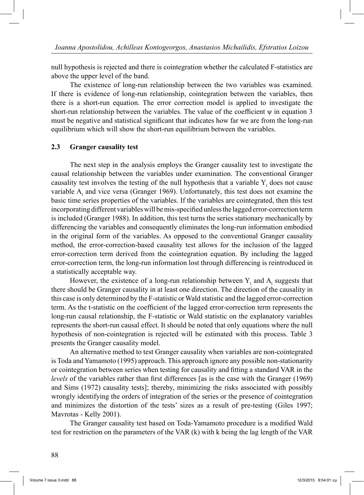null hypothesis is rejected and there is cointegration whether the calculated F-statistics are above the upper level of the band.

 The existence of long-run relationship between the two variables was examined. If there is evidence of long-run relationship, cointegration between the variables, then there is a short-run equation. The error correction model is applied to investigate the short-run relationship between the variables. The value of the coefficient  $\psi$  in equation 3 must be negative and statistical significant that indicates how far we are from the long-run equilibrium which will show the short-run equilibrium between the variables.

#### **2.3 Granger causality test**

 The next step in the analysis employs the Granger causality test to investigate the causal relationship between the variables under examination. The conventional Granger causality test involves the testing of the null hypothesis that a variable  $Y_t$  does not cause variable  $A_t$  and vice versa (Granger 1969). Unfortunately, this test does not examine the basic time series properties of the variables. If the variables are cointegrated, then this test incorporating different variables will be mis-specified unless the lagged error-correction term is included (Granger 1988). In addition, this test turns the series stationary mechanically by differencing the variables and consequently eliminates the long-run information embodied in the original form of the variables. As opposed to the conventional Granger causality method, the error-correction-based causality test allows for the inclusion of the lagged error-correction term derived from the cointegration equation. By including the lagged error-correction term, the long-run information lost through differencing is reintroduced in a statistically acceptable way.

However, the existence of a long-run relationship between  $Y_t$  and  $A_t$  suggests that there should be Granger causality in at least one direction. The direction of the causality in this case is only determined by the F-statistic or Wald statistic and the lagged error-correction term. As the t-statistic on the coefficient of the lagged error-correction term represents the long-run causal relationship, the F-statistic or Wald statistic on the explanatory variables represents the short-run causal effect. It should be noted that only equations where the null hypothesis of non-cointegration is rejected will be estimated with this process. Table 3 presents the Granger causality model.

 An alternative method to test Granger causality when variables are non-cointegrated is Toda and Yamamoto (1995) approach. This approach ignore any possible non-stationarity or cointegration between series when testing for causality and fitting a standard VAR in the *levels* of the variables rather than first differences [as is the case with the Granger (1969) and Sims (1972) causality tests]; thereby, minimizing the risks associated with possibly wrongly identifying the orders of integration of the series or the presence of cointegration and minimizes the distortion of the tests' sizes as a result of pre-testing (Giles 1997; Mavrotas - Kelly 2001).

 The Granger causality test based on Toda-Yamamoto procedure is a modified Wald test for restriction on the parameters of the VAR (k) with k being the lag length of the VAR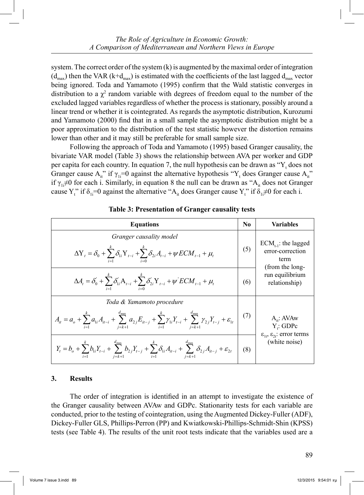system. The correct order of the system (k) is augmented by the maximal order of integration  $(d_{max})$  then the VAR (k+ $d_{max}$ ) is estimated with the coefficients of the last lagged  $d_{max}$  vector being ignored. Toda and Yamamoto (1995) confirm that the Wald statistic converges in distribution to a  $\chi^2$  random variable with degrees of freedom equal to the number of the excluded lagged variables regardless of whether the process is stationary, possibly around a linear trend or whether it is cointegrated. As regards the asymptotic distribution, Kurozumi and Yamamoto (2000) find that in a small sample the asymptotic distribution might be a poor approximation to the distribution of the test statistic however the distortion remains lower than other and it may still be preferable for small sample size.

 Following the approach of Toda and Yamamoto (1995) based Granger causality, the bivariate VAR model (Table 3) shows the relationship between AVA per worker and GDP per capita for each country. In equation 7, the null hypothesis can be drawn as  $"Y_t$  does not Granger cause  $A_{it}^{\prime\prime}$  if  $\gamma_{li} = 0$  against the alternative hypothesis "Y<sub>t</sub> does Granger cause  $A_{it}^{\prime\prime}$ " if  $\gamma_{1i} \neq 0$  for each i. Similarly, in equation 8 the null can be drawn as "A<sub>it</sub> does not Granger" cause  $Y_t^{\prime\prime}$  if  $\delta_{1i} = 0$  against the alternative "A<sub>it</sub> does Granger cause  $Y_t^{\prime\prime}$  if  $\delta_{1i} \neq 0$  for each i.

| <b>Equations</b>                                                                                                                                                                                                 | $\bf No$ | Variables                                                               |
|------------------------------------------------------------------------------------------------------------------------------------------------------------------------------------------------------------------|----------|-------------------------------------------------------------------------|
| Granger causality model<br>$\Delta \textbf{Y}_t = \delta_0 + \sum_{}^k \delta_{\scriptscriptstyle \hspace{-1pt} i} \textbf{Y}_{t-i} + \sum_{}^k \delta_{\scriptscriptstyle 2i} A_{t-i} + \psi ECM_{t-1} + \mu_t$ | (5)      | $ECM_{t-1}$ : the lagged<br>error-correction<br>term<br>(from the long- |
| $\Delta A_{t} = \delta_{0}^{'} + \sum_{i=1}^{k} \delta_{1i}^{'} A_{t-i} + \sum_{i=1}^{k} \delta_{2i}^{'} Y_{t-i} + \psi^{'} ECM_{t-1} + \mu_{t}$                                                                 | (6)      | run equilibrium<br>relationship)                                        |
| Toda & Yamamoto procedure                                                                                                                                                                                        |          |                                                                         |
| $A_{it} = a_o + \sum_{i=1}^{k} a_{1i} A_{it-i} + \sum_{i=1}^{a_{\text{max}}} a_{2i} E_{it-j} + \sum_{i=1}^{k} \gamma_{1i} Y_{t-i} + \sum_{i=1}^{a_{\text{max}}} \gamma_{2i} Y_{t-j} + \varepsilon_{1i}$          | (7)      | $A_{it}$ : AVAw<br>Y: GDPc                                              |
| $Y_{t} = b_{o} + \sum_{i=1}^{k} b_{1i} Y_{t-i} + \sum_{j=k+1}^{d_{\text{max}}} b_{2j} Y_{t-j} + \sum_{i=1}^{k} \delta_{1i} A_{it-i} + \sum_{j=k+1}^{d_{\text{max}}} \delta_{2j} A_{it-j} + \varepsilon_{2t}$     | (8)      | $\epsilon_{1t}$ , $\epsilon_{2t}$ : error terms<br>(white noise)        |

#### **Table 3: Presentation of Granger causality tests**

#### **3. Results**

 The order of integration is identified in an attempt to investigate the existence of the Granger causality between AVAw and GDPc. Stationarity tests for each variable are conducted, prior to the testing of cointegration, using the Augmented Dickey-Fuller (ADF), Dickey-Fuller GLS, Phillips-Perron (PP) and Kwiatkowski-Phillips-Schmidt-Shin (KPSS) tests (see Table 4). The results of the unit root tests indicate that the variables used are a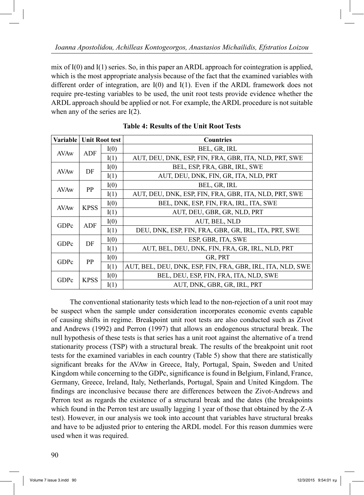mix of  $I(0)$  and  $I(1)$  series. So, in this paper an ARDL approach for cointegration is applied, which is the most appropriate analysis because of the fact that the examined variables with different order of integration, are I(0) and I(1). Even if the ARDL framework does not require pre-testing variables to be used, the unit root tests provide evidence whether the ARDL approach should be applied or not. For example, the ARDL procedure is not suitable when any of the series are I(2).

| Variable    | <b>Unit Root test</b> |      | <b>Countries</b>                                           |
|-------------|-----------------------|------|------------------------------------------------------------|
| AVAw        | ADF                   | I(0) | BEL, GR, IRL                                               |
|             |                       | I(1) | AUT, DEU, DNK, ESP, FIN, FRA, GBR, ITA, NLD, PRT, SWE      |
| <b>AVAw</b> | DF                    | I(0) | BEL, ESP, FRA, GBR, IRL, SWE                               |
|             |                       | I(1) | AUT, DEU, DNK, FIN, GR, ITA, NLD, PRT                      |
| AVAw        | <b>PP</b>             | I(0) | BEL, GR, IRL                                               |
|             |                       | I(1) | AUT, DEU, DNK, ESP, FIN, FRA, GBR, ITA, NLD, PRT, SWE      |
| <b>AVAw</b> | <b>KPSS</b>           | I(0) | BEL, DNK, ESP, FIN, FRA, IRL, ITA, SWE                     |
|             |                       | I(1) | AUT, DEU, GBR, GR, NLD, PRT                                |
| GDPc        | ADF                   | I(0) | AUT, BEL, NLD                                              |
|             |                       | I(1) | DEU, DNK, ESP, FIN, FRA, GBR, GR, IRL, ITA, PRT, SWE       |
| GDPc        | DF                    | I(0) | ESP, GBR, ITA, SWE                                         |
|             |                       | I(1) | AUT, BEL, DEU, DNK, FIN, FRA, GR, IRL, NLD, PRT            |
| GDPc        | <b>PP</b>             | I(0) | GR, PRT                                                    |
|             |                       | I(1) | AUT, BEL, DEU, DNK, ESP, FIN, FRA, GBR, IRL, ITA, NLD, SWE |
|             |                       | I(0) | BEL, DEU, ESP, FIN, FRA, ITA, NLD, SWE                     |
| GDPc        | <b>KPSS</b>           | I(1) | AUT, DNK, GBR, GR, IRL, PRT                                |

**Table 4: Results of the Unit Root Tests**

 The conventional stationarity tests which lead to the non-rejection of a unit root may be suspect when the sample under consideration incorporates economic events capable of causing shifts in regime. Breakpoint unit root tests are also conducted such as Zivot and Andrews (1992) and Perron (1997) that allows an endogenous structural break. The null hypothesis of these tests is that series has a unit root against the alternative of a trend stationarity process (TSP) with a structural break. The results of the breakpoint unit root tests for the examined variables in each country (Table 5) show that there are statistically significant breaks for the AVAw in Greece, Italy, Portugal, Spain, Sweden and United Kingdom while concerning to the GDPc, significance is found in Belgium, Finland, France, Germany, Greece, Ireland, Italy, Netherlands, Portugal, Spain and United Kingdom. The findings are inconclusive because there are differences between the Zivot-Andrews and Perron test as regards the existence of a structural break and the dates (the breakpoints which found in the Perron test are usually lagging 1 year of those that obtained by the Z-A test). However, in our analysis we took into account that variables have structural breaks and have to be adjusted prior to entering the ARDL model. For this reason dummies were used when it was required.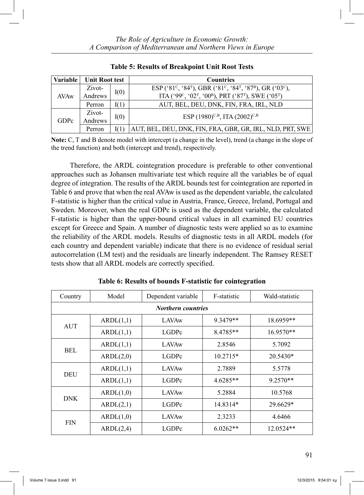| Variable | <b>Unit Root test</b> |      | <b>Countries</b>                                                                                                                   |
|----------|-----------------------|------|------------------------------------------------------------------------------------------------------------------------------------|
|          | Zivot-                | I(0) | ESP ('81 <sup>c</sup> , '84 <sup>T</sup> ), GBR ('81 <sup>c</sup> , '84 <sup>T</sup> , '87 <sup>B</sup> ), GR ('03 <sup>c</sup> ), |
| AVAw     | Andrews               |      | ITA ('99°, '02 <sup>T</sup> , '00 <sup>B</sup> ), PRT ('87 <sup>T</sup> ), SWE ('05 <sup>T</sup> )                                 |
|          | Perron                | I(1) | AUT, BEL, DEU, DNK, FIN, FRA, IRL, NLD                                                                                             |
|          | Zivot-                | I(0) | ESP $(1980)^{C,B}$ , ITA $(2002)^{C,B}$                                                                                            |
| GDPc     | Andrews               |      |                                                                                                                                    |
|          | Perron                |      | AUT, BEL, DEU, DNK, FIN, FRA, GBR, GR, IRL, NLD, PRT, SWE                                                                          |

**Table 5: Results of Breakpoint Unit Root Tests**

**Note:** C, T and B denote model with intercept (a change in the level), trend (a change in the slope of the trend function) and both (intercept and trend), respectively.

 Therefore, the ARDL cointegration procedure is preferable to other conventional approaches such as Johansen multivariate test which require all the variables be of equal degree of integration. The results of the ARDL bounds test for cointegration are reported in Table 6 and prove that when the real AVAw is used as the dependent variable, the calculated F-statistic is higher than the critical value in Austria, France, Greece, Ireland, Portugal and Sweden. Moreover, when the real GDPc is used as the dependent variable, the calculated F-statistic is higher than the upper-bound critical values in all examined EU countries except for Greece and Spain. A number of diagnostic tests were applied so as to examine the reliability of the ARDL models. Results of diagnostic tests in all ARDL models (for each country and dependent variable) indicate that there is no evidence of residual serial autocorrelation (LM test) and the residuals are linearly independent. The Ramsey RESET tests show that all ARDL models are correctly specified.

| Country                   | Model<br>Dependent variable |              | F-statistic | Wald-statistic |  |  |  |  |  |  |  |
|---------------------------|-----------------------------|--------------|-------------|----------------|--|--|--|--|--|--|--|
| <b>Northern countries</b> |                             |              |             |                |  |  |  |  |  |  |  |
| AUT                       | ARDL(1,1)                   | <b>LAVAw</b> | 9.3479**    | 18.6959**      |  |  |  |  |  |  |  |
|                           | ARDL(1,1)                   | LGDPc        | 8.4785**    | 16.9570**      |  |  |  |  |  |  |  |
| BEL                       | ARDL(1,1)                   | <b>LAVAw</b> | 2.8546      | 5.7092         |  |  |  |  |  |  |  |
|                           | ARDL(2,0)                   | LGDPc        | $10.2715*$  | $20.5430*$     |  |  |  |  |  |  |  |
|                           | ARDL(1,1)                   | <b>LAVAw</b> | 2.7889      | 5.5778         |  |  |  |  |  |  |  |
| DEU                       | ARDL(1,1)                   | LGDPc        | $4.6285**$  | $9.2570**$     |  |  |  |  |  |  |  |
| <b>DNK</b>                | ARDL(1,0)                   | <b>LAVAw</b> | 5.2884      | 10.5768        |  |  |  |  |  |  |  |
|                           | ARDL(2,1)                   | LGDPc        | 14.8314*    | 29.6629*       |  |  |  |  |  |  |  |
|                           | ARDL(1,0)                   | <b>LAVAw</b> | 2.3233      | 4.6466         |  |  |  |  |  |  |  |
| <b>FIN</b>                | ARDL(2,4)                   | LGDPc        | $6.0262**$  | $12.0524**$    |  |  |  |  |  |  |  |

**Table 6: Results of bounds F-statistic for cointegration**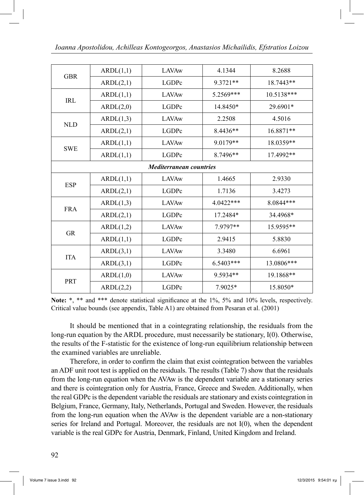| <b>GBR</b> | ARDL(1,1) | <b>LAVAw</b>                   | 4.1344    | 8.2688     |
|------------|-----------|--------------------------------|-----------|------------|
|            | ARDL(2,1) | LGDPc                          | 9.3721**  | 18.7443**  |
| IRL        | ARDL(1,1) | <b>LAVAw</b>                   | 5.2569*** | 10.5138*** |
|            | ARDL(2,0) | LGDPc                          | 14.8450*  | 29.6901*   |
|            | ARDL(1,3) | <b>LAVAw</b>                   | 2.2508    | 4.5016     |
| <b>NLD</b> | ARDL(2,1) | LGDPc                          | 8.4436**  | 16.8871**  |
|            | ARDL(1,1) | <b>LAVAw</b>                   | 9.0179**  | 18.0359**  |
| <b>SWE</b> | ARDL(1,1) | LGDPc                          | 8.7496**  | 17.4992**  |
|            |           | <b>Mediterranean countries</b> |           |            |
| <b>ESP</b> | ARDL(1,1) | <b>LAVAw</b>                   | 1.4665    | 2.9330     |
|            | ARDL(2,1) | LGDPc                          | 1.7136    | 3.4273     |
| <b>FRA</b> | ARDL(1,3) | LAVAw                          | 4.0422*** | 8.0844***  |
|            | ARDL(2,1) | LGDPc                          | 17.2484*  | 34.4968*   |
| GR         | ARDL(1,2) | <b>LAVAw</b>                   | 7.9797**  | 15.9595**  |
|            | ARDL(1,1) | LGDPc                          | 2.9415    | 5.8830     |
| <b>ITA</b> | ARDL(3,1) | <b>LAVAw</b>                   | 3.3480    | 6.6961     |
|            | ARDL(3,1) | LGDPc                          | 6.5403*** | 13.0806*** |
|            | ARDL(1,0) | <b>LAVAw</b>                   | 9.5934**  | 19.1868**  |
| <b>PRT</b> | ARDL(2,2) | LGDPc                          | 7.9025*   | 15.8050*   |

Note: \*, \*\* and \*\*\* denote statistical significance at the 1%, 5% and 10% levels, respectively. Critical value bounds (see appendix, Table A1) are obtained from Pesaran et al. (2001)

 It should be mentioned that in a cointegrating relationship, the residuals from the long-run equation by the ARDL procedure, must necessarily be stationary, I(0). Otherwise, the results of the F-statistic for the existence of long-run equilibrium relationship between the examined variables are unreliable.

 Therefore, in order to confirm the claim that exist cointegration between the variables an ADF unit root test is applied on the residuals. The results (Table 7) show that the residuals from the long-run equation when the AVAw is the dependent variable are a stationary series and there is cointegration only for Austria, France, Greece and Sweden. Additionally, when the real GDPc is the dependent variable the residuals are stationary and exists cointegration in Belgium, France, Germany, Italy, Netherlands, Portugal and Sweden. However, the residuals from the long-run equation when the AVAw is the dependent variable are a non-stationary series for Ireland and Portugal. Moreover, the residuals are not I(0), when the dependent variable is the real GDPc for Austria, Denmark, Finland, United Kingdom and Ireland.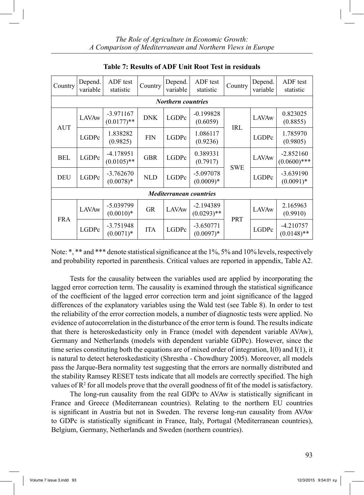| Country                   | Depend.<br>variable | ADF test<br>statistic        | Country    | Depend.<br>variable | ADF test<br>statistic          | Country    | Depend.<br>variable | ADF test<br>statistic         |  |  |  |  |  |
|---------------------------|---------------------|------------------------------|------------|---------------------|--------------------------------|------------|---------------------|-------------------------------|--|--|--|--|--|
| <b>Northern countries</b> |                     |                              |            |                     |                                |            |                     |                               |  |  |  |  |  |
|                           | LAVAw               | $-3.971167$<br>$(0.0177)$ ** | <b>DNK</b> | LGDPc               | $-0.199828$<br>(0.6059)        | <b>IRL</b> | <b>LAVAw</b>        | 0.823025<br>(0.8855)          |  |  |  |  |  |
| <b>AUT</b>                | LGDPc               | 1.838282<br>(0.9825)         | <b>FIN</b> | LGDPc               | 1.086117<br>(0.9236)           |            | LGDPc               | 1.785970<br>(0.9805)          |  |  |  |  |  |
| BEL                       | LGDPc               | $-4.178951$<br>$(0.0105)$ ** | <b>GBR</b> | LGDPc               | 0.389331<br>(0.7917)           |            | <b>LAVAw</b>        | $-2.852160$<br>$(0.0600)$ *** |  |  |  |  |  |
| <b>DEU</b>                | LGDPc               | $-3.762670$<br>$(0.0078)*$   | <b>NLD</b> | LGDPc               | $-5.097078$<br>$(0.0009)*$     | <b>SWE</b> | LGDPc               | $-3.639190$<br>$(0.0091)*$    |  |  |  |  |  |
|                           |                     |                              |            |                     | <b>Mediterranean countries</b> |            |                     |                               |  |  |  |  |  |
|                           | <b>LAVAw</b>        | $-5.039799$<br>$(0.0010)*$   | <b>GR</b>  | <b>LAVAw</b>        | $-2.194389$<br>$(0.0293)$ **   |            | <b>LAVAw</b>        | 2.165963<br>(0.9910)          |  |  |  |  |  |
| <b>FRA</b>                | LGDPc               | $-3.751948$<br>$(0.0071)*$   | <b>ITA</b> | LGDPc               | $-3.650771$<br>$(0.0097)*$     | <b>PRT</b> | LGDPc               | $-4.210757$<br>$(0.0148)$ **  |  |  |  |  |  |

**Table 7: Results of ADF Unit Root Test in residuals**

Note: \*, \*\* and \*\*\* denote statistical significance at the 1%, 5% and 10% levels, respectively and probability reported in parenthesis. Critical values are reported in appendix, Table A2.

 Tests for the causality between the variables used are applied by incorporating the lagged error correction term. The causality is examined through the statistical significance of the coefficient of the lagged error correction term and joint significance of the lagged differences of the explanatory variables using the Wald test (see Table 8). In order to test the reliability of the error correction models, a number of diagnostic tests were applied. No evidence of autocorrelation in the disturbance of the error term is found. The results indicate that there is heteroskedasticity only in France (model with dependent variable AVAw), Germany and Netherlands (models with dependent variable GDPc). However, since the time series constituting both the equations are of mixed order of integration, I(0) and I(1), it is natural to detect heteroskedasticity (Shrestha - Chowdhury 2005). Moreover, all models pass the Jarque-Bera normality test suggesting that the errors are normally distributed and the stability Ramsey RESET tests indicate that all models are correctly specified. The high values of  $\mathbb{R}^2$  for all models prove that the overall goodness of fit of the model is satisfactory.

 The long-run causality from the real GDPc to AVAw is statistically significant in France and Greece (Mediterranean countries). Relating to the northern EU countries is significant in Austria but not in Sweden. The reverse long-run causality from AVAw to GDPc is statistically significant in France, Italy, Portugal (Mediterranean countries), Belgium, Germany, Netherlands and Sweden (northern countries).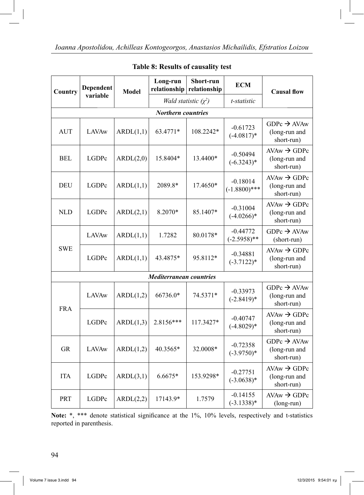| Country            | Dependent    | <b>Model</b> | Long-run<br>relationship       | Short-run<br>relationship              | <b>ECM</b>                    | <b>Causal flow</b>                                                   |  |  |  |  |  |
|--------------------|--------------|--------------|--------------------------------|----------------------------------------|-------------------------------|----------------------------------------------------------------------|--|--|--|--|--|
|                    | variable     |              |                                | Wald statistic $(\chi^2)$              | t-statistic                   |                                                                      |  |  |  |  |  |
| Northern countries |              |              |                                |                                        |                               |                                                                      |  |  |  |  |  |
| <b>AUT</b>         | <b>LAVAw</b> | ARDL(1,1)    | 63.4771*                       | 108.2242*                              | $-0.61723$<br>$(-4.0817)*$    | $GDPc \rightarrow AVAw$<br>(long-run and<br>short-run)               |  |  |  |  |  |
| BEL                | LGDPc        | ARDL(2,0)    | 15.8404*                       | 13.4400*                               | $-0.50494$<br>$(-6.3243)*$    | $\text{AVAw} \rightarrow \text{GDPc}$<br>(long-run and<br>short-run) |  |  |  |  |  |
| DEU                | LGDPc        | ARDL(1,1)    | 2089.8*                        | 17.4650*                               | $-0.18014$<br>$(-1.8800)$ *** | $AVAw \rightarrow GDPc$<br>(long-run and<br>short-run)               |  |  |  |  |  |
| <b>NLD</b>         | LGDPc        | ARDL(2,1)    | 8.2070*                        | $-0.31004$<br>85.1407*<br>$(-4.0266)*$ |                               | $AVAw \rightarrow GDPc$<br>(long-run and<br>short-run)               |  |  |  |  |  |
|                    | <b>LAVAw</b> | ARDL(1,1)    | 1.7282                         | 80.0178*                               | $-0.44772$<br>$(-2.5958)$ **  | $GDPc \rightarrow AVAw$<br>(short-run)                               |  |  |  |  |  |
| <b>SWE</b>         | LGDPc        | ARDL(1,1)    | 43.4875*                       | 95.8112*                               | $-0.34881$<br>$(-3.7122)*$    | $AVAw \rightarrow GDPc$<br>(long-run and<br>short-run)               |  |  |  |  |  |
|                    |              |              | <i>Mediterranean countries</i> |                                        |                               |                                                                      |  |  |  |  |  |
| <b>FRA</b>         | <b>LAVAw</b> | ARDL(1,2)    | 66736.0*                       | 74.5371*                               | $-0.33973$<br>$(-2.8419)*$    | $GDPc \rightarrow AVAw$<br>(long-run and<br>short-run)               |  |  |  |  |  |
|                    | LGDPc        | ARDL(1,3)    | 2.8156***                      | 117.3427*                              | $-0.40747$<br>$(-4.8029)*$    | $AVAw \rightarrow GDPc$<br>(long-run and<br>short-run)               |  |  |  |  |  |
| <b>GR</b>          | <b>LAVAw</b> | ARDL(1,2)    | 40.3565*                       | 32.0008*                               | $-0.72358$<br>$(-3.9750)*$    | $GDPc \rightarrow AVAw$<br>(long-run and<br>short-run)               |  |  |  |  |  |
| <b>ITA</b>         | LGDPc        | ARDL(3,1)    | $6.6675*$                      | 153.9298*                              | $-0.27751$<br>$(-3.0638)*$    | $\text{AVAw} \rightarrow \text{GDPc}$<br>(long-run and<br>short-run) |  |  |  |  |  |
| PRT                | LGDPc        | ARDL(2,2)    | 17143.9*                       | 1.7579                                 | $-0.14155$<br>$(-3.1338)*$    | $\text{AVAw} \rightarrow \text{GDPc}$<br>(long-run)                  |  |  |  |  |  |

#### **Table 8: Results of causality test**

Note: \*, \*\*\* denote statistical significance at the 1%, 10% levels, respectively and t-statistics reported in parenthesis.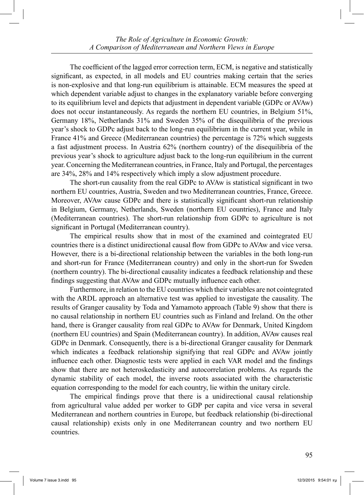The coefficient of the lagged error correction term, ECM, is negative and statistically significant, as expected, in all models and EU countries making certain that the series is non-explosive and that long-run equilibrium is attainable. ECM measures the speed at which dependent variable adjust to changes in the explanatory variable before converging to its equilibrium level and depicts that adjustment in dependent variable (GDPc or AVAw) does not occur instantaneously. As regards the northern EU countries, in Belgium 51%, Germany 18%, Netherlands 31% and Sweden 35% of the disequilibria of the previous year's shock to GDPc adjust back to the long-run equilibrium in the current year, while in France 41% and Greece (Mediterranean countries) the percentage is 72% which suggests a fast adjustment process. In Austria 62% (northern country) of the disequilibria of the previous year's shock to agriculture adjust back to the long-run equilibrium in the current year. Concerning the Mediterranean countries, in France, Italy and Portugal, the percentages are 34%, 28% and 14% respectively which imply a slow adjustment procedure.

 The short-run causality from the real GDPc to AVAw is statistical significant in two northern EU countries, Austria, Sweden and two Mediterranean countries, France, Greece. Moreover, AVAw cause GDPc and there is statistically significant short-run relationship in Belgium, Germany, Netherlands, Sweden (northern EU countries), France and Italy (Mediterranean countries). The short-run relationship from GDPc to agriculture is not significant in Portugal (Mediterranean country).

 The empirical results show that in most of the examined and cointegrated EU countries there is a distinct unidirectional causal flow from GDPc to AVAw and vice versa. However, there is a bi-directional relationship between the variables in the both long-run and short-run for France (Mediterranean country) and only in the short-run for Sweden (northern country). The bi-directional causality indicates a feedback relationship and these findings suggesting that AVAw and GDPc mutually influence each other.

 Furthermore, in relation to the EU countries which their variables are not cointegrated with the ARDL approach an alternative test was applied to investigate the causality. The results of Granger causality by Toda and Yamamoto approach (Table 9) show that there is no causal relationship in northern EU countries such as Finland and Ireland. On the other hand, there is Granger causality from real GDPc to AVAw for Denmark, United Kingdom (northern EU countries) and Spain (Mediterranean country). In addition, AVAw causes real GDPc in Denmark. Consequently, there is a bi-directional Granger causality for Denmark which indicates a feedback relationship signifying that real GDPc and AVAw jointly influence each other. Diagnostic tests were applied in each VAR model and the findings show that there are not heteroskedasticity and autocorrelation problems. As regards the dynamic stability of each model, the inverse roots associated with the characteristic equation corresponding to the model for each country, lie within the unitary circle.

 The empirical findings prove that there is a unidirectional causal relationship from agricultural value added per worker to GDP per capita and vice versa in several Mediterranean and northern countries in Europe, but feedback relationship (bi-directional causal relationship) exists only in one Mediterranean country and two northern EU countries.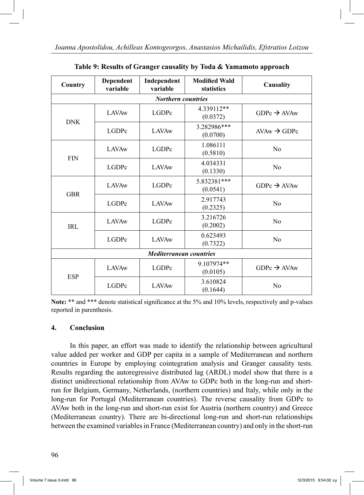| Country                   | Dependent<br>Independent<br>variable<br>variable |                                | <b>Modified Wald</b><br>statistics | Causality               |  |  |  |  |  |  |  |
|---------------------------|--------------------------------------------------|--------------------------------|------------------------------------|-------------------------|--|--|--|--|--|--|--|
| <b>Northern countries</b> |                                                  |                                |                                    |                         |  |  |  |  |  |  |  |
| <b>DNK</b>                | <b>LAVAw</b>                                     | LGDPc                          | 4.339112**<br>(0.0372)             | $GDPc \rightarrow AVAw$ |  |  |  |  |  |  |  |
|                           | LGDPc                                            | <b>LAVAw</b>                   | 3.282986***<br>(0.0700)            | $AVAw \rightarrow GDPc$ |  |  |  |  |  |  |  |
|                           | <b>LAVAw</b>                                     | <b>LGDPc</b>                   | 1.086111<br>(0.5810)               | N <sub>0</sub>          |  |  |  |  |  |  |  |
| <b>FIN</b>                | LGDPc                                            | <b>LAVAw</b>                   | 4.034331<br>(0.1330)               | N <sub>0</sub>          |  |  |  |  |  |  |  |
| <b>GBR</b>                | <b>LAVAw</b>                                     | LGDPc                          | 5.832381***<br>(0.0541)            | $GDPc \rightarrow AVAw$ |  |  |  |  |  |  |  |
|                           | <b>LGDPc</b>                                     | <b>LAVAw</b>                   | 2.917743<br>(0.2325)               | No                      |  |  |  |  |  |  |  |
| <b>IRL</b>                | <b>LAVAw</b>                                     | LGDPc                          | 3.216726<br>(0.2002)               | N <sub>0</sub>          |  |  |  |  |  |  |  |
|                           | LGDPc<br><b>LAVAw</b>                            |                                | 0.623493<br>(0.7322)               | N <sub>0</sub>          |  |  |  |  |  |  |  |
|                           |                                                  | <b>Mediterranean countries</b> |                                    |                         |  |  |  |  |  |  |  |
|                           | <b>LAVAw</b>                                     | LGDPc                          | 9.107974**<br>(0.0105)             | $GDPc \rightarrow AVAw$ |  |  |  |  |  |  |  |
| <b>ESP</b>                | LGDPc                                            | <b>LAVAw</b>                   | 3.610824<br>(0.1644)               | N <sub>0</sub>          |  |  |  |  |  |  |  |

**Table 9: Results of Granger causality by Toda & Yamamoto approach**

**Note:** \*\* and \*\*\* denote statistical significance at the 5% and 10% levels, respectively and p-values reported in parenthesis.

#### **4. Conclusion**

 In this paper, an effort was made to identify the relationship between agricultural value added per worker and GDP per capita in a sample of Mediterranean and northern countries in Europe by employing cointegration analysis and Granger causality tests. Results regarding the autoregressive distributed lag (ARDL) model show that there is a distinct unidirectional relationship from AVAw to GDPc both in the long-run and shortrun for Belgium, Germany, Netherlands, (northern countries) and Italy, while only in the long-run for Portugal (Mediterranean countries). The reverse causality from GDPc to AVAw both in the long-run and short-run exist for Austria (northern country) and Greece (Mediterranean country). There are bi-directional long-run and short-run relationships between the examined variables in France (Mediterranean country) and only in the short-run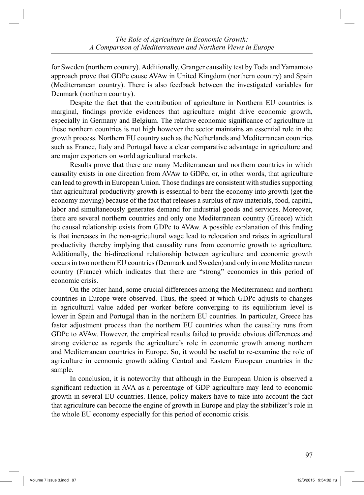for Sweden (northern country). Additionally, Granger causality test by Toda and Yamamoto approach prove that GDPc cause AVAw in United Kingdom (northern country) and Spain (Mediterranean country). There is also feedback between the investigated variables for Denmark (northern country).

 Despite the fact that the contribution of agriculture in Northern EU countries is marginal, findings provide evidences that agriculture might drive economic growth, especially in Germany and Belgium. The relative economic significance of agriculture in these northern countries is not high however the sector maintains an essential role in the growth process. Northern EU country such as the Netherlands and Mediterranean countries such as France, Italy and Portugal have a clear comparative advantage in agriculture and are major exporters on world agricultural markets.

 Results prove that there are many Mediterranean and northern countries in which causality exists in one direction from AVAw to GDPc, or, in other words, that agriculture can lead to growth in European Union. Those findings are consistent with studies supporting that agricultural productivity growth is essential to bear the economy into growth (get the economy moving) because of the fact that releases a surplus of raw materials, food, capital, labor and simultaneously generates demand for industrial goods and services. Moreover, there are several northern countries and only one Mediterranean country (Greece) which the causal relationship exists from GDPc to AVAw. A possible explanation of this finding is that increases in the non-agricultural wage lead to relocation and raises in agricultural productivity thereby implying that causality runs from economic growth to agriculture. Additionally, the bi-directional relationship between agriculture and economic growth occurs in two northern EU countries (Denmark and Sweden) and only in one Mediterranean country (France) which indicates that there are "strong" economies in this period of economic crisis.

 On the other hand, some crucial differences among the Mediterranean and northern countries in Europe were observed. Thus, the speed at which GDPc adjusts to changes in agricultural value added per worker before converging to its equilibrium level is lower in Spain and Portugal than in the northern EU countries. In particular, Greece has faster adjustment process than the northern EU countries when the causality runs from GDPc to AVAw. However, the empirical results failed to provide obvious differences and strong evidence as regards the agriculture's role in economic growth among northern and Mediterranean countries in Europe. So, it would be useful to re-examine the role of agriculture in economic growth adding Central and Eastern European countries in the sample.

 In conclusion, it is noteworthy that although in the European Union is observed a significant reduction in AVA as a percentage of GDP agriculture may lead to economic growth in several EU countries. Hence, policy makers have to take into account the fact that agriculture can become the engine of growth in Europe and play the stabilizer's role in the whole EU economy especially for this period of economic crisis.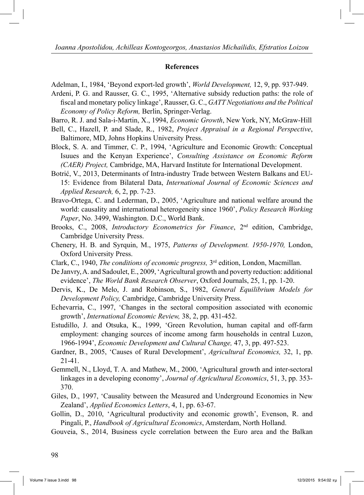#### **References**

Adelman, I., 1984, 'Beyond export-led growth', *World Development,* 12, 9, pp. 937-949.

Ardeni, P. G. and Rausser, G. C., 1995, 'Alternative subsidy reduction paths: the role of fiscal and monetary policy linkage', Rausser, G. C., *GATT Negotiations and the Political Economy of Policy Reform,* Berlin, Springer-Verlag.

Barro, R. J. and Sala-i-Martin, X., 1994, *Economic Growth*, New York, NY, McGraw-Hill

- Bell, C., Hazell, P. and Slade, R., 1982, *Project Appraisal in a Regional Perspective*, Baltimore, MD, Johns Hopkins University Press.
- Block, S. A. and Timmer, C. P., 1994, 'Agriculture and Economic Growth: Conceptual Isuues and the Kenyan Experience', *Consulting Assistance on Economic Reform (CAER) Project,* Cambridge, MA, Harvard Institute for International Development.
- Botrić, V., 2013, Determinants of Intra-industry Trade between Western Balkans and EU-15: Evidence from Bilateral Data, *International Journal of Economic Sciences and Applied Research,* 6, 2, pp. 7-23.
- Bravo-Ortega, C. and Lederman, D., 2005, 'Agriculture and national welfare around the world: causality and international heterogeneity since 1960', *Policy Research Working Paper*, No. 3499, Washington. D.C., World Bank.
- Brooks, C., 2008, *Introductory Econometrics for Finance*, 2nd edition, Cambridge, Cambridge University Press.
- Chenery, H. B. and Syrquin, M., 1975, *Patterns of Development. 1950-1970,* London, Oxford University Press.
- Clark, C., 1940, *The conditions of economic progress,* 3rd edition, London, Macmillan.
- De Janvry, A. and Sadoulet, E., 2009, 'Agricultural growth and poverty reduction: additional evidence', *The World Bank Research Observer*, Oxford Journals, 25, 1, pp. 1-20.
- Dervis, K., De Melo, J. and Robinson, S., 1982, *General Equilibrium Models for Development Policy,* Cambridge, Cambridge University Press.
- Echevarria, C., 1997, 'Changes in the sectoral composition associated with economic growth', *International Economic Review,* 38, 2, pp. 431-452.
- Estudillo, J. and Otsuka, K., 1999, 'Green Revolution, human capital and off-farm employment: changing sources of income among farm households in central Luzon, 1966-1994', *Economic Development and Cultural Change,* 47, 3, pp. 497-523.
- Gardner, B., 2005, 'Causes of Rural Development', *Agricultural Economics,* 32, 1, pp. 21-41.
- Gemmell, N., Lloyd, T. A. and Mathew, M., 2000, 'Agricultural growth and inter-sectoral linkages in a developing economy', *Journal of Agricultural Economics*, 51, 3, pp. 353- 370.
- Giles, D., 1997, 'Causality between the Measured and Underground Economies in New Zealand', *Applied Economics Letters*, 4, 1, pp. 63-67.
- Gollin, D., 2010, 'Agricultural productivity and economic growth', Evenson, R. and Pingali, P., *Handbook of Agricultural Economics*, Amsterdam, North Holland.
- Gouveia, S., 2014, Business cycle correlation between the Euro area and the Balkan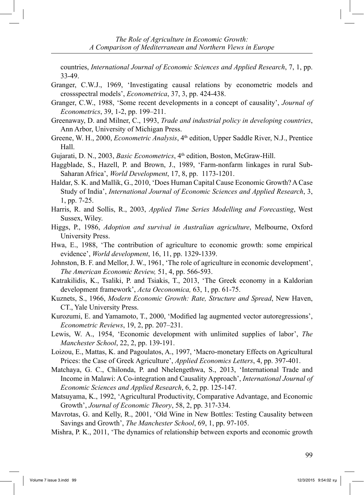countries, *International Journal of Economic Sciences and Applied Research*, 7, 1, pp. 33-49.

- Granger, C.W.J., 1969, 'Investigating causal relations by econometric models and crossspectral models', *Econometrica*, 37, 3, pp. 424-438.
- Granger, C.W., 1988, 'Some recent developments in a concept of causality', *Journal of Econometrics*, 39, 1-2, pp. 199–211.
- Greenaway, D. and Milner, C., 1993, *Trade and industrial policy in developing countries*, Ann Arbor, University of Michigan Press.
- Greene, W. H., 2000, *Econometric Analysis*, 4<sup>th</sup> edition, Upper Saddle River, N.J., Prentice Hall.
- Gujarati, D. N., 2003, *Basic Econometrics*, 4<sup>th</sup> edition, Boston, McGraw-Hill.
- Haggblade, S., Hazell, P. and Brown, J., 1989, 'Farm-nonfarm linkages in rural Sub-Saharan Africa', *World Development*, 17, 8, pp. 1173-1201.
- Haldar, S. K. and Mallik, G., 2010, 'Does Human Capital Cause Economic Growth? A Case Study of India', *International Journal of Economic Sciences and Applied Research*, 3, 1, pp. 7-25.
- Harris, R. and Sollis, R., 2003, *Applied Time Series Modelling and Forecasting*, West Sussex, Wiley.
- Higgs, P., 1986, *Adoption and survival in Australian agriculture*, Melbourne, Oxford University Press.
- Hwa, E., 1988, 'The contribution of agriculture to economic growth: some empirical evidence', *World development*, 16, 11, pp. 1329-1339.
- Johnston, B. F. and Mellor, J. W., 1961, 'The role of agriculture in economic development', *The American Economic Review,* 51, 4, pp. 566-593.
- Katrakilidis, K., Tsaliki, P. and Tsiakis, T., 2013, 'The Greek economy in a Kaldorian development framework', *Acta Oeconomica,* 63, 1, pp. 61-75.
- Kuznets, S., 1966, *Modern Economic Growth: Rate, Structure and Spread*, New Haven, CT., Yale University Press.
- Kurozumi, E. and Yamamoto, T., 2000, 'Modified lag augmented vector autoregressions', *Econometric Reviews*, 19, 2, pp. 207–231.
- Lewis, W. A., 1954, 'Economic development with unlimited supplies of labor', *The Manchester School*, 22, 2, pp. 139-191.
- Loizou, E., Mattas, K. and Pagoulatos, A., 1997, 'Macro-monetary Effects on Agricultural Prices: the Case of Greek Agriculture', *Applied Economics Letters*, 4, pp. 397-401.
- Matchaya, G. C., Chilonda, P. and Nhelengethwa, S., 2013, 'International Trade and Income in Malawi: A Co-integration and Causality Approach', *International Journal of Economic Sciences and Applied Research*, 6, 2, pp. 125-147.
- Matsuyama, K., 1992, 'Agricultural Productivity, Comparative Advantage, and Economic Growth', *Journal of Economic Theory*, 58, 2, pp. 317-334.
- Mavrotas, G. and Kelly, R., 2001, 'Old Wine in New Bottles: Testing Causality between Savings and Growth', *The Manchester School*, 69, 1, pp. 97-105.
- Mishra, P. K., 2011, 'The dynamics of relationship between exports and economic growth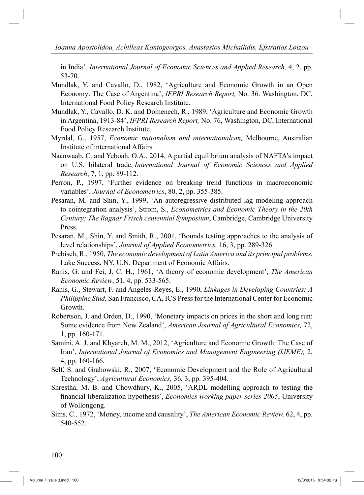in India', *International Journal of Economic Sciences and Applied Research,* 4, 2, pp. 53-70.

- Mundlak, Y. and Cavallo, D., 1982, 'Agriculture and Economic Growth in an Open Economy: The Case of Argentina', *IFPRI Research Report,* No. 36. Washington, DC, International Food Policy Research Institute.
- Mundlak, Y., Cavallo, D. K. and Domenech, R., 1989, 'Agriculture and Economic Growth in Argentina, 1913-84', *IFPRI Research Report,* No. 76, Washington, DC, International Food Policy Research Institute.
- Myrdal, G., 1957, *Economic nationalism and internationalism,* Melbourne, Australian Institute of international Affairs
- Naanwaab, C. and Yeboah, O.A., 2014, A partial equilibrium analysis of NAFTA's impact on U.S. bilateral trade, *International Journal of Economic Sciences and Applied Research*, 7, 1, pp. 89-112.
- Perron, P., 1997, 'Further evidence on breaking trend functions in macroeconomic variables', *Journal of Econometrics*, 80, 2, pp. 355-385.
- Pesaran, M. and Shin, Y., 1999, 'An autoregressive distributed lag modeling approach to cointegration analysis', Strom, S., *Econometrics and Economic Theory in the 20th Century: The Ragnar Frisch centennial Symposium*, Cambridge, Cambridge University Press.
- Pesaran, M., Shin, Y. and Smith, R., 2001, 'Bounds testing approaches to the analysis of level relationships', *Journal of Applied Econometrics,* 16, 3, pp. 289-326.
- Prebisch, R., 1950, *The economic development of Latin America and its principal problems*, Lake Success, NY, U.N. Department of Economic Affairs.
- Ranis, G. and Fei, J. C. H., 1961, 'A theory of economic development', *The American Economic Review*, 51, 4, pp. 533-565.
- Ranis, G., Stewart, F. and Angeles-Reyes, E., 1990, *Linkages in Developing Countries: A Philippine Stud,* San Francisco, CA, ICS Press for the International Center for Economic Growth.
- Robertson, J. and Orden, D., 1990, 'Monetary impacts on prices in the short and long run: Some evidence from New Zealand', *American Journal of Agricultural Economics,* 72, 1, pp. 160-171.
- Samini, A. J. and Khyareh, M. M., 2012, 'Agriculture and Economic Growth: The Case of Iran', *International Journal of Economics and Management Engineering (IJEME),* 2, 4, pp. 160-166.
- Self, S. and Grabowski, R., 2007, 'Economic Development and the Role of Agricultural Technology', *Agricultural Economics,* 36, 3, pp. 395-404.
- Shrestha, M. B. and Chowdhury, K., 2005, 'ARDL modelling approach to testing the financial liberalization hypothesis', *Economics working paper series 2005*, University of Wollongong.
- Sims, C., 1972, 'Money, income and causality', *The American Economic Review,* 62, 4, pp. 540-552.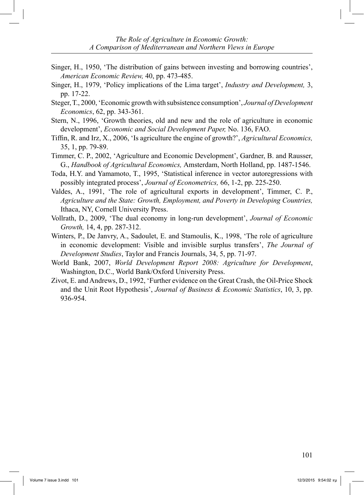- Singer, H., 1950, 'The distribution of gains between investing and borrowing countries', *American Economic Review,* 40, pp. 473-485.
- Singer, H., 1979, 'Policy implications of the Lima target', *Industry and Development,* 3, pp. 17-22.
- Steger, T., 2000, 'Economic growth with subsistence consumption', *Journal of Development Economics*, 62, pp. 343-361.
- Stern, N., 1996, 'Growth theories, old and new and the role of agriculture in economic development', *Economic and Social Development Paper,* No. 136, FAO.
- Tiffin, R. and Irz, X., 2006, 'Is agriculture the engine of growth?', *Agricultural Economics,* 35, 1, pp. 79-89.
- Timmer, C. P., 2002, 'Agriculture and Economic Development', Gardner, B. and Rausser, G., *Handbook of Agricultural Economics,* Amsterdam, North Holland, pp. 1487-1546.
- Toda, H.Y. and Yamamoto, T., 1995, 'Statistical inference in vector autoregressions with possibly integrated process', *Journal of Econometrics,* 66, 1-2, pp. 225-250.
- Valdes, A., 1991, 'The role of agricultural exports in development', Timmer, C. P., *Agriculture and the State: Growth, Employment, and Poverty in Developing Countries,* Ithaca, NY, Cornell University Press.
- Vollrath, D., 2009, 'The dual economy in long-run development', *Journal of Economic Growth,* 14, 4, pp. 287-312.
- Winters, P., De Janvry, A., Sadoulet, E. and Stamoulis, K., 1998, 'The role of agriculture in economic development: Visible and invisible surplus transfers', *The Journal of Development Studies*, Taylor and Francis Journals, 34, 5, pp. 71-97.
- World Bank, 2007, *World Development Report 2008: Agriculture for Development*, Washington, D.C., World Bank/Oxford University Press.
- Zivot, E. and Andrews, D., 1992, 'Further evidence on the Great Crash, the Oil-Price Shock and the Unit Root Hypothesis', *Journal of Business & Economic Statistics*, 10, 3, pp. 936-954.